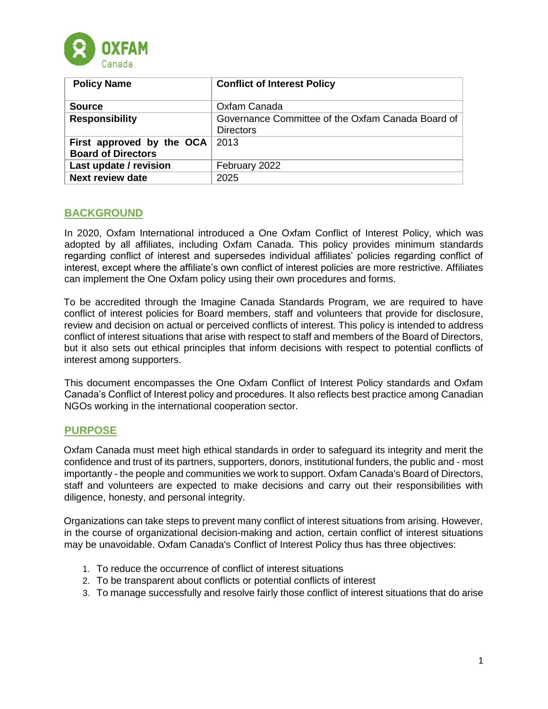

| <b>Policy Name</b>        | <b>Conflict of Interest Policy</b>                |
|---------------------------|---------------------------------------------------|
|                           |                                                   |
| <b>Source</b>             | Oxfam Canada                                      |
| <b>Responsibility</b>     | Governance Committee of the Oxfam Canada Board of |
|                           | <b>Directors</b>                                  |
| First approved by the OCA | 2013                                              |
| <b>Board of Directors</b> |                                                   |
| Last update / revision    | February 2022                                     |
| <b>Next review date</b>   | 2025                                              |

### **BACKGROUND**

In 2020, Oxfam International introduced a One Oxfam Conflict of Interest Policy, which was adopted by all affiliates, including Oxfam Canada. This policy provides minimum standards regarding conflict of interest and supersedes individual affiliates' policies regarding conflict of interest, except where the affiliate's own conflict of interest policies are more restrictive. Affiliates can implement the One Oxfam policy using their own procedures and forms.

To be accredited through the Imagine Canada Standards Program, we are required to have conflict of interest policies for Board members, staff and volunteers that provide for disclosure, review and decision on actual or perceived conflicts of interest. This policy is intended to address conflict of interest situations that arise with respect to staff and members of the Board of Directors, but it also sets out ethical principles that inform decisions with respect to potential conflicts of interest among supporters.

This document encompasses the One Oxfam Conflict of Interest Policy standards and Oxfam Canada's Conflict of Interest policy and procedures. It also reflects best practice among Canadian NGOs working in the international cooperation sector.

### **PURPOSE**

Oxfam Canada must meet high ethical standards in order to safeguard its integrity and merit the confidence and trust of its partners, supporters, donors, institutional funders, the public and - most importantly - the people and communities we work to support. Oxfam Canada's Board of Directors, staff and volunteers are expected to make decisions and carry out their responsibilities with diligence, honesty, and personal integrity.

Organizations can take steps to prevent many conflict of interest situations from arising. However, in the course of organizational decision-making and action, certain conflict of interest situations may be unavoidable. Oxfam Canada's Conflict of Interest Policy thus has three objectives:

- 1. To reduce the occurrence of conflict of interest situations
- 2. To be transparent about conflicts or potential conflicts of interest
- 3. To manage successfully and resolve fairly those conflict of interest situations that do arise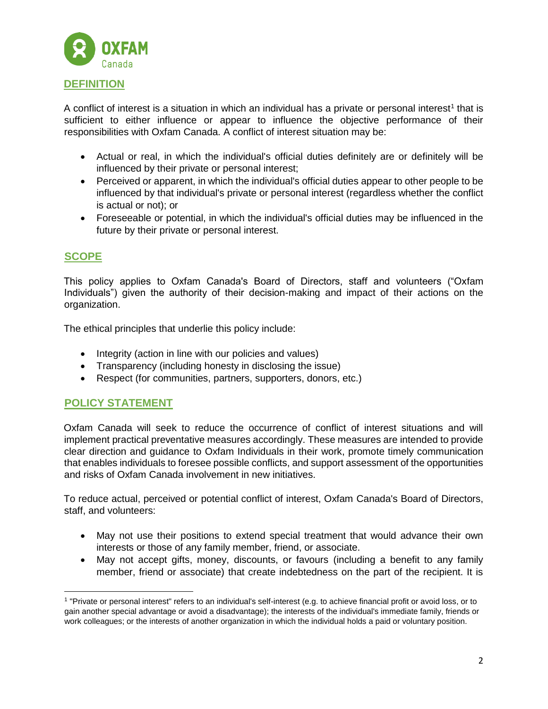

A conflict of interest is a situation in which an individual has a private or personal interest<sup>1</sup> that is sufficient to either influence or appear to influence the objective performance of their responsibilities with Oxfam Canada. A conflict of interest situation may be:

- Actual or real, in which the individual's official duties definitely are or definitely will be influenced by their private or personal interest;
- Perceived or apparent, in which the individual's official duties appear to other people to be influenced by that individual's private or personal interest (regardless whether the conflict is actual or not); or
- Foreseeable or potential, in which the individual's official duties may be influenced in the future by their private or personal interest.

# **SCOPE**

l

This policy applies to Oxfam Canada's Board of Directors, staff and volunteers ("Oxfam Individuals") given the authority of their decision-making and impact of their actions on the organization.

The ethical principles that underlie this policy include:

- Integrity (action in line with our policies and values)
- Transparency (including honesty in disclosing the issue)
- Respect (for communities, partners, supporters, donors, etc.)

# **POLICY STATEMENT**

Oxfam Canada will seek to reduce the occurrence of conflict of interest situations and will implement practical preventative measures accordingly. These measures are intended to provide clear direction and guidance to Oxfam Individuals in their work, promote timely communication that enables individuals to foresee possible conflicts, and support assessment of the opportunities and risks of Oxfam Canada involvement in new initiatives.

To reduce actual, perceived or potential conflict of interest, Oxfam Canada's Board of Directors, staff, and volunteers:

- May not use their positions to extend special treatment that would advance their own interests or those of any family member, friend, or associate.
- May not accept gifts, money, discounts, or favours (including a benefit to any family member, friend or associate) that create indebtedness on the part of the recipient. It is

<sup>1</sup> "Private or personal interest" refers to an individual's self-interest (e.g. to achieve financial profit or avoid loss, or to gain another special advantage or avoid a disadvantage); the interests of the individual's immediate family, friends or work colleagues; or the interests of another organization in which the individual holds a paid or voluntary position.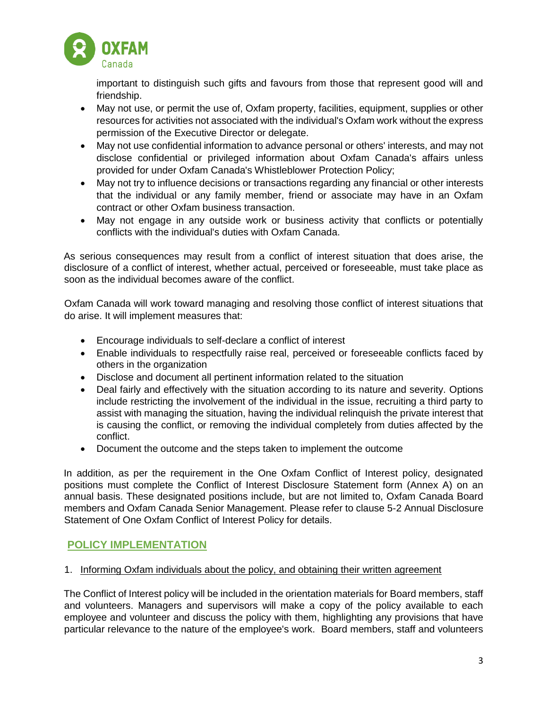

important to distinguish such gifts and favours from those that represent good will and friendship.

- May not use, or permit the use of, Oxfam property, facilities, equipment, supplies or other resources for activities not associated with the individual's Oxfam work without the express permission of the Executive Director or delegate.
- May not use confidential information to advance personal or others' interests, and may not disclose confidential or privileged information about Oxfam Canada's affairs unless provided for under Oxfam Canada's Whistleblower Protection Policy;
- May not try to influence decisions or transactions regarding any financial or other interests that the individual or any family member, friend or associate may have in an Oxfam contract or other Oxfam business transaction.
- May not engage in any outside work or business activity that conflicts or potentially conflicts with the individual's duties with Oxfam Canada.

As serious consequences may result from a conflict of interest situation that does arise, the disclosure of a conflict of interest, whether actual, perceived or foreseeable, must take place as soon as the individual becomes aware of the conflict.

Oxfam Canada will work toward managing and resolving those conflict of interest situations that do arise. It will implement measures that:

- Encourage individuals to self-declare a conflict of interest
- Enable individuals to respectfully raise real, perceived or foreseeable conflicts faced by others in the organization
- Disclose and document all pertinent information related to the situation
- Deal fairly and effectively with the situation according to its nature and severity. Options include restricting the involvement of the individual in the issue, recruiting a third party to assist with managing the situation, having the individual relinquish the private interest that is causing the conflict, or removing the individual completely from duties affected by the conflict.
- Document the outcome and the steps taken to implement the outcome

In addition, as per the requirement in the One Oxfam Conflict of Interest policy, designated positions must complete the Conflict of Interest Disclosure Statement form (Annex A) on an annual basis. These designated positions include, but are not limited to, Oxfam Canada Board members and Oxfam Canada Senior Management. Please refer to clause 5-2 Annual Disclosure Statement of One Oxfam Conflict of Interest Policy for details.

### **POLICY IMPLEMENTATION**

### 1. Informing Oxfam individuals about the policy, and obtaining their written agreement

The Conflict of Interest policy will be included in the orientation materials for Board members, staff and volunteers. Managers and supervisors will make a copy of the policy available to each employee and volunteer and discuss the policy with them, highlighting any provisions that have particular relevance to the nature of the employee's work. Board members, staff and volunteers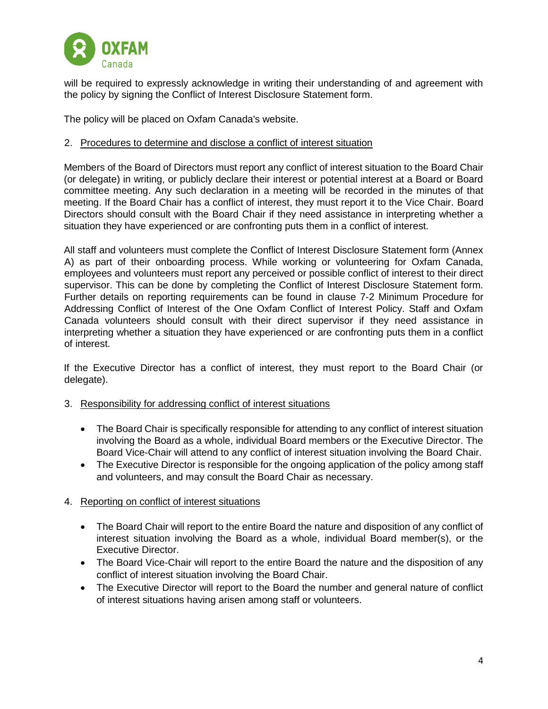

will be required to expressly acknowledge in writing their understanding of and agreement with the policy by signing the Conflict of Interest Disclosure Statement form.

The policy will be placed on Oxfam Canada's website.

### 2. Procedures to determine and disclose a conflict of interest situation

Members of the Board of Directors must report any conflict of interest situation to the Board Chair (or delegate) in writing, or publicly declare their interest or potential interest at a Board or Board committee meeting. Any such declaration in a meeting will be recorded in the minutes of that meeting. If the Board Chair has a conflict of interest, they must report it to the Vice Chair. Board Directors should consult with the Board Chair if they need assistance in interpreting whether a situation they have experienced or are confronting puts them in a conflict of interest.

All staff and volunteers must complete the Conflict of Interest Disclosure Statement form (Annex A) as part of their onboarding process. While working or volunteering for Oxfam Canada, employees and volunteers must report any perceived or possible conflict of interest to their direct supervisor. This can be done by completing the Conflict of Interest Disclosure Statement form. Further details on reporting requirements can be found in clause 7-2 Minimum Procedure for Addressing Conflict of Interest of the One Oxfam Conflict of Interest Policy. Staff and Oxfam Canada volunteers should consult with their direct supervisor if they need assistance in interpreting whether a situation they have experienced or are confronting puts them in a conflict of interest.

If the Executive Director has a conflict of interest, they must report to the Board Chair (or delegate).

### 3. Responsibility for addressing conflict of interest situations

- The Board Chair is specifically responsible for attending to any conflict of interest situation involving the Board as a whole, individual Board members or the Executive Director. The Board Vice-Chair will attend to any conflict of interest situation involving the Board Chair.
- The Executive Director is responsible for the ongoing application of the policy among staff and volunteers, and may consult the Board Chair as necessary.
- 4. Reporting on conflict of interest situations
	- The Board Chair will report to the entire Board the nature and disposition of any conflict of interest situation involving the Board as a whole, individual Board member(s), or the Executive Director.
	- The Board Vice-Chair will report to the entire Board the nature and the disposition of any conflict of interest situation involving the Board Chair.
	- The Executive Director will report to the Board the number and general nature of conflict of interest situations having arisen among staff or volunteers.